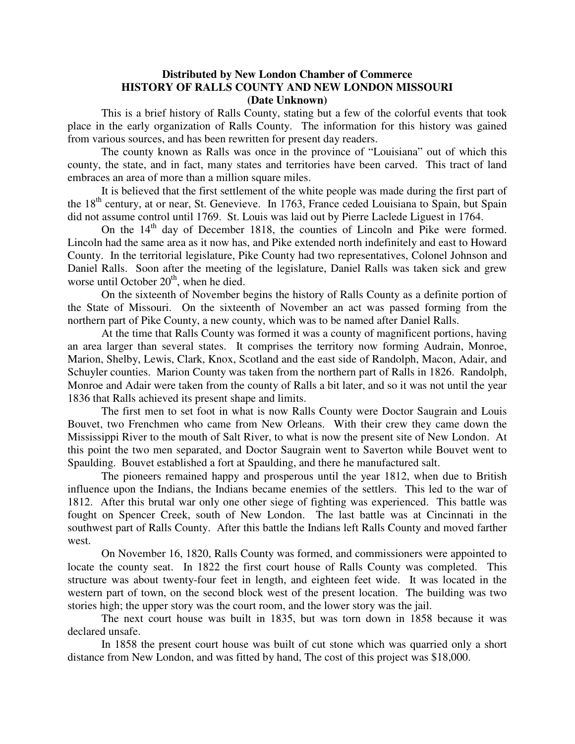#### **Distributed by New London Chamber of Commerce HISTORY OF RALLS COUNTY AND NEW LONDON MISSOURI (Date Unknown)**

This is a brief history of Ralls County, stating but a few of the colorful events that took place in the early organization of Ralls County. The information for this history was gained from various sources, and has been rewritten for present day readers.

The county known as Ralls was once in the province of "Louisiana" out of which this county, the state, and in fact, many states and territories have been carved. This tract of land embraces an area of more than a million square miles.

It is believed that the first settlement of the white people was made during the first part of the 18<sup>th</sup> century, at or near, St. Genevieve. In 1763, France ceded Louisiana to Spain, but Spain did not assume control until 1769. St. Louis was laid out by Pierre Laclede Liguest in 1764.

On the 14<sup>th</sup> day of December 1818, the counties of Lincoln and Pike were formed. Lincoln had the same area as it now has, and Pike extended north indefinitely and east to Howard County. In the territorial legislature, Pike County had two representatives, Colonel Johnson and Daniel Ralls. Soon after the meeting of the legislature, Daniel Ralls was taken sick and grew worse until October  $20<sup>th</sup>$ , when he died.

On the sixteenth of November begins the history of Ralls County as a definite portion of the State of Missouri. On the sixteenth of November an act was passed forming from the northern part of Pike County, a new county, which was to be named after Daniel Ralls.

At the time that Ralls County was formed it was a county of magnificent portions, having an area larger than several states. It comprises the territory now forming Audrain, Monroe, Marion, Shelby, Lewis, Clark, Knox, Scotland and the east side of Randolph, Macon, Adair, and Schuyler counties. Marion County was taken from the northern part of Ralls in 1826. Randolph, Monroe and Adair were taken from the county of Ralls a bit later, and so it was not until the year 1836 that Ralls achieved its present shape and limits.

The first men to set foot in what is now Ralls County were Doctor Saugrain and Louis Bouvet, two Frenchmen who came from New Orleans. With their crew they came down the Mississippi River to the mouth of Salt River, to what is now the present site of New London. At this point the two men separated, and Doctor Saugrain went to Saverton while Bouvet went to Spaulding. Bouvet established a fort at Spaulding, and there he manufactured salt.

The pioneers remained happy and prosperous until the year 1812, when due to British influence upon the Indians, the Indians became enemies of the settlers. This led to the war of 1812. After this brutal war only one other siege of fighting was experienced. This battle was fought on Spencer Creek, south of New London. The last battle was at Cincinnati in the southwest part of Ralls County. After this battle the Indians left Ralls County and moved farther west.

On November 16, 1820, Ralls County was formed, and commissioners were appointed to locate the county seat. In 1822 the first court house of Ralls County was completed. This structure was about twenty-four feet in length, and eighteen feet wide. It was located in the western part of town, on the second block west of the present location. The building was two stories high; the upper story was the court room, and the lower story was the jail.

The next court house was built in 1835, but was torn down in 1858 because it was declared unsafe.

In 1858 the present court house was built of cut stone which was quarried only a short distance from New London, and was fitted by hand, The cost of this project was \$18,000.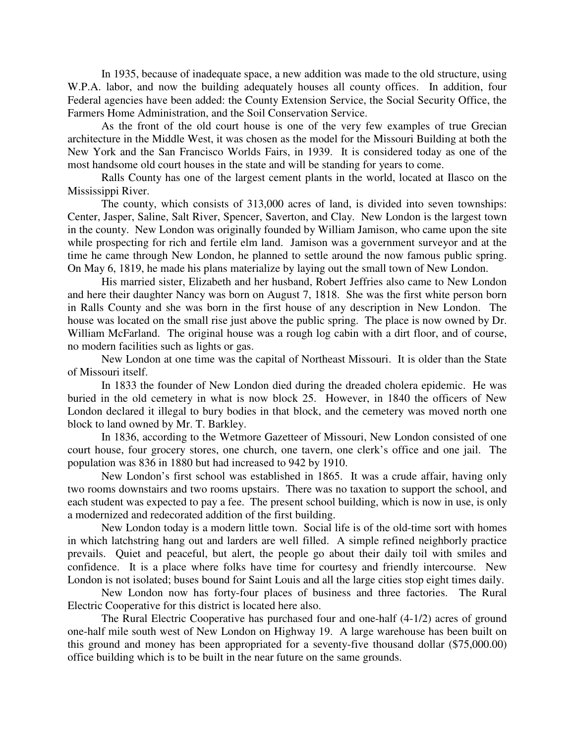In 1935, because of inadequate space, a new addition was made to the old structure, using W.P.A. labor, and now the building adequately houses all county offices. In addition, four Federal agencies have been added: the County Extension Service, the Social Security Office, the Farmers Home Administration, and the Soil Conservation Service.

As the front of the old court house is one of the very few examples of true Grecian architecture in the Middle West, it was chosen as the model for the Missouri Building at both the New York and the San Francisco Worlds Fairs, in 1939. It is considered today as one of the most handsome old court houses in the state and will be standing for years to come.

Ralls County has one of the largest cement plants in the world, located at Ilasco on the Mississippi River.

The county, which consists of 313,000 acres of land, is divided into seven townships: Center, Jasper, Saline, Salt River, Spencer, Saverton, and Clay. New London is the largest town in the county. New London was originally founded by William Jamison, who came upon the site while prospecting for rich and fertile elm land. Jamison was a government surveyor and at the time he came through New London, he planned to settle around the now famous public spring. On May 6, 1819, he made his plans materialize by laying out the small town of New London.

His married sister, Elizabeth and her husband, Robert Jeffries also came to New London and here their daughter Nancy was born on August 7, 1818. She was the first white person born in Ralls County and she was born in the first house of any description in New London. The house was located on the small rise just above the public spring. The place is now owned by Dr. William McFarland. The original house was a rough log cabin with a dirt floor, and of course, no modern facilities such as lights or gas.

New London at one time was the capital of Northeast Missouri. It is older than the State of Missouri itself.

In 1833 the founder of New London died during the dreaded cholera epidemic. He was buried in the old cemetery in what is now block 25. However, in 1840 the officers of New London declared it illegal to bury bodies in that block, and the cemetery was moved north one block to land owned by Mr. T. Barkley.

In 1836, according to the Wetmore Gazetteer of Missouri, New London consisted of one court house, four grocery stores, one church, one tavern, one clerk's office and one jail. The population was 836 in 1880 but had increased to 942 by 1910.

New London's first school was established in 1865. It was a crude affair, having only two rooms downstairs and two rooms upstairs. There was no taxation to support the school, and each student was expected to pay a fee. The present school building, which is now in use, is only a modernized and redecorated addition of the first building.

New London today is a modern little town. Social life is of the old-time sort with homes in which latchstring hang out and larders are well filled. A simple refined neighborly practice prevails. Quiet and peaceful, but alert, the people go about their daily toil with smiles and confidence. It is a place where folks have time for courtesy and friendly intercourse. New London is not isolated; buses bound for Saint Louis and all the large cities stop eight times daily.

New London now has forty-four places of business and three factories. The Rural Electric Cooperative for this district is located here also.

The Rural Electric Cooperative has purchased four and one-half (4-1/2) acres of ground one-half mile south west of New London on Highway 19. A large warehouse has been built on this ground and money has been appropriated for a seventy-five thousand dollar (\$75,000.00) office building which is to be built in the near future on the same grounds.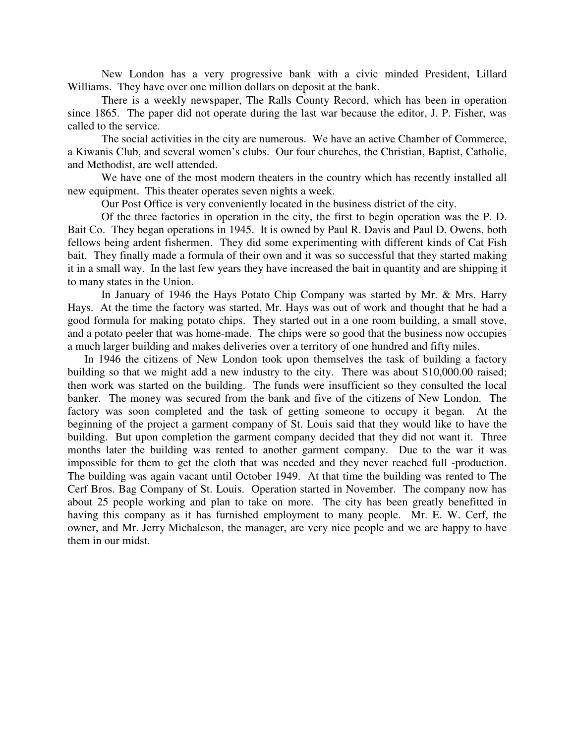New London has a very progressive bank with a civic minded President, Lillard Williams. They have over one million dollars on deposit at the bank.

There is a weekly newspaper, The Ralls County Record, which has been in operation since 1865. The paper did not operate during the last war because the editor, J. P. Fisher, was called to the service.

The social activities in the city are numerous. We have an active Chamber of Commerce, a Kiwanis Club, and several women's clubs. Our four churches, the Christian, Baptist, Catholic, and Methodist, are well attended.

We have one of the most modern theaters in the country which has recently installed all new equipment. This theater operates seven nights a week.

Our Post Office is very conveniently located in the business district of the city.

Of the three factories in operation in the city, the first to begin operation was the P. D. Bait Co. They began operations in 1945. It is owned by Paul R. Davis and Paul D. Owens, both fellows being ardent fishermen. They did some experimenting with different kinds of Cat Fish bait. They finally made a formula of their own and it was so successful that they started making it in a small way. In the last few years they have increased the bait in quantity and are shipping it to many states in the Union.

In January of 1946 the Hays Potato Chip Company was started by Mr. & Mrs. Harry Hays. At the time the factory was started, Mr. Hays was out of work and thought that he had a good formula for making potato chips. They started out in a one room building, a small stove, and a potato peeler that was home-made. The chips were so good that the business now occupies a much larger building and makes deliveries over a territory of one hundred and fifty miles.

In 1946 the citizens of New London took upon themselves the task of building a factory building so that we might add a new industry to the city. There was about \$10,000.00 raised; then work was started on the building. The funds were insufficient so they consulted the local banker. The money was secured from the bank and five of the citizens of New London. The factory was soon completed and the task of getting someone to occupy it began. At the beginning of the project a garment company of St. Louis said that they would like to have the building. But upon completion the garment company decided that they did not want it. Three months later the building was rented to another garment company. Due to the war it was impossible for them to get the cloth that was needed and they never reached full -production. The building was again vacant until October 1949. At that time the building was rented to The Cerf Bros. Bag Company of St. Louis. Operation started in November. The company now has about 25 people working and plan to take on more. The city has been greatly benefitted in having this company as it has furnished employment to many people. Mr. E. W. Cerf, the owner, and Mr. Jerry Michaleson, the manager, are very nice people and we are happy to have them in our midst.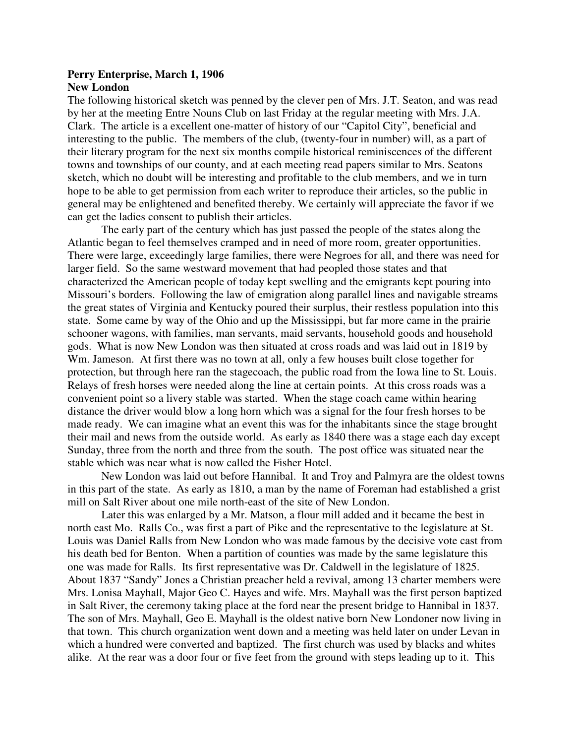#### **Perry Enterprise, March 1, 1906 New London**

The following historical sketch was penned by the clever pen of Mrs. J.T. Seaton, and was read by her at the meeting Entre Nouns Club on last Friday at the regular meeting with Mrs. J.A. Clark. The article is a excellent one-matter of history of our "Capitol City", beneficial and interesting to the public. The members of the club, (twenty-four in number) will, as a part of their literary program for the next six months compile historical reminiscences of the different towns and townships of our county, and at each meeting read papers similar to Mrs. Seatons sketch, which no doubt will be interesting and profitable to the club members, and we in turn hope to be able to get permission from each writer to reproduce their articles, so the public in general may be enlightened and benefited thereby. We certainly will appreciate the favor if we can get the ladies consent to publish their articles.

The early part of the century which has just passed the people of the states along the Atlantic began to feel themselves cramped and in need of more room, greater opportunities. There were large, exceedingly large families, there were Negroes for all, and there was need for larger field. So the same westward movement that had peopled those states and that characterized the American people of today kept swelling and the emigrants kept pouring into Missouri's borders. Following the law of emigration along parallel lines and navigable streams the great states of Virginia and Kentucky poured their surplus, their restless population into this state. Some came by way of the Ohio and up the Mississippi, but far more came in the prairie schooner wagons, with families, man servants, maid servants, household goods and household gods. What is now New London was then situated at cross roads and was laid out in 1819 by Wm. Jameson. At first there was no town at all, only a few houses built close together for protection, but through here ran the stagecoach, the public road from the Iowa line to St. Louis. Relays of fresh horses were needed along the line at certain points. At this cross roads was a convenient point so a livery stable was started. When the stage coach came within hearing distance the driver would blow a long horn which was a signal for the four fresh horses to be made ready. We can imagine what an event this was for the inhabitants since the stage brought their mail and news from the outside world. As early as 1840 there was a stage each day except Sunday, three from the north and three from the south. The post office was situated near the stable which was near what is now called the Fisher Hotel.

New London was laid out before Hannibal. It and Troy and Palmyra are the oldest towns in this part of the state. As early as 1810, a man by the name of Foreman had established a grist mill on Salt River about one mile north-east of the site of New London.

Later this was enlarged by a Mr. Matson, a flour mill added and it became the best in north east Mo. Ralls Co., was first a part of Pike and the representative to the legislature at St. Louis was Daniel Ralls from New London who was made famous by the decisive vote cast from his death bed for Benton. When a partition of counties was made by the same legislature this one was made for Ralls. Its first representative was Dr. Caldwell in the legislature of 1825. About 1837 "Sandy" Jones a Christian preacher held a revival, among 13 charter members were Mrs. Lonisa Mayhall, Major Geo C. Hayes and wife. Mrs. Mayhall was the first person baptized in Salt River, the ceremony taking place at the ford near the present bridge to Hannibal in 1837. The son of Mrs. Mayhall, Geo E. Mayhall is the oldest native born New Londoner now living in that town. This church organization went down and a meeting was held later on under Levan in which a hundred were converted and baptized. The first church was used by blacks and whites alike. At the rear was a door four or five feet from the ground with steps leading up to it. This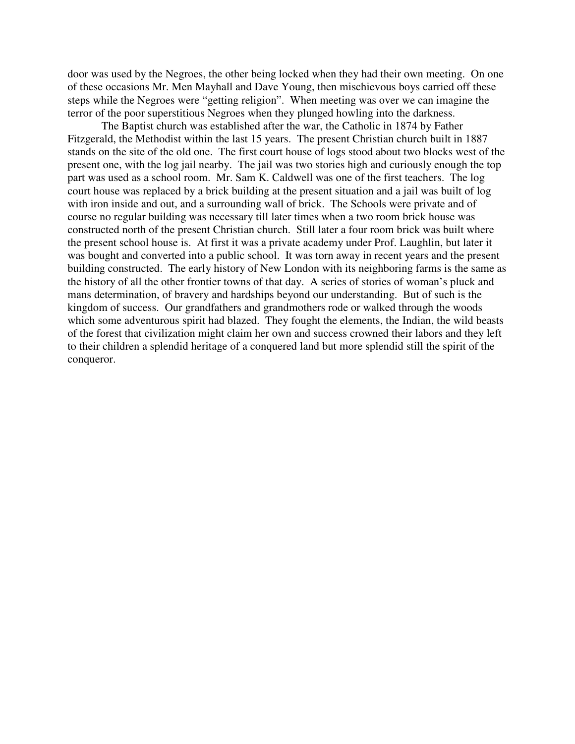door was used by the Negroes, the other being locked when they had their own meeting. On one of these occasions Mr. Men Mayhall and Dave Young, then mischievous boys carried off these steps while the Negroes were "getting religion". When meeting was over we can imagine the terror of the poor superstitious Negroes when they plunged howling into the darkness.

The Baptist church was established after the war, the Catholic in 1874 by Father Fitzgerald, the Methodist within the last 15 years. The present Christian church built in 1887 stands on the site of the old one. The first court house of logs stood about two blocks west of the present one, with the log jail nearby. The jail was two stories high and curiously enough the top part was used as a school room. Mr. Sam K. Caldwell was one of the first teachers. The log court house was replaced by a brick building at the present situation and a jail was built of log with iron inside and out, and a surrounding wall of brick. The Schools were private and of course no regular building was necessary till later times when a two room brick house was constructed north of the present Christian church. Still later a four room brick was built where the present school house is. At first it was a private academy under Prof. Laughlin, but later it was bought and converted into a public school. It was torn away in recent years and the present building constructed. The early history of New London with its neighboring farms is the same as the history of all the other frontier towns of that day. A series of stories of woman's pluck and mans determination, of bravery and hardships beyond our understanding. But of such is the kingdom of success. Our grandfathers and grandmothers rode or walked through the woods which some adventurous spirit had blazed. They fought the elements, the Indian, the wild beasts of the forest that civilization might claim her own and success crowned their labors and they left to their children a splendid heritage of a conquered land but more splendid still the spirit of the conqueror.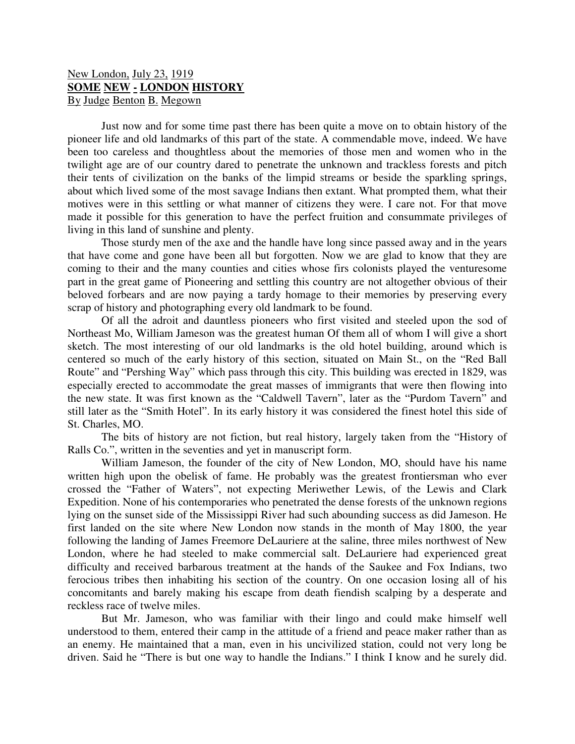# New London, July 23, 1919 **SOME NEW - LONDON HISTORY** By Judge Benton B. Megown

Just now and for some time past there has been quite a move on to obtain history of the pioneer life and old landmarks of this part of the state. A commendable move, indeed. We have been too careless and thoughtless about the memories of those men and women who in the twilight age are of our country dared to penetrate the unknown and trackless forests and pitch their tents of civilization on the banks of the limpid streams or beside the sparkling springs, about which lived some of the most savage Indians then extant. What prompted them, what their motives were in this settling or what manner of citizens they were. I care not. For that move made it possible for this generation to have the perfect fruition and consummate privileges of living in this land of sunshine and plenty.

Those sturdy men of the axe and the handle have long since passed away and in the years that have come and gone have been all but forgotten. Now we are glad to know that they are coming to their and the many counties and cities whose firs colonists played the venturesome part in the great game of Pioneering and settling this country are not altogether obvious of their beloved forbears and are now paying a tardy homage to their memories by preserving every scrap of history and photographing every old landmark to be found.

Of all the adroit and dauntless pioneers who first visited and steeled upon the sod of Northeast Mo, William Jameson was the greatest human Of them all of whom I will give a short sketch. The most interesting of our old landmarks is the old hotel building, around which is centered so much of the early history of this section, situated on Main St., on the "Red Ball Route" and "Pershing Way" which pass through this city. This building was erected in 1829, was especially erected to accommodate the great masses of immigrants that were then flowing into the new state. It was first known as the "Caldwell Tavern", later as the "Purdom Tavern" and still later as the "Smith Hotel". In its early history it was considered the finest hotel this side of St. Charles, MO.

The bits of history are not fiction, but real history, largely taken from the "History of Ralls Co.", written in the seventies and yet in manuscript form.

William Jameson, the founder of the city of New London, MO, should have his name written high upon the obelisk of fame. He probably was the greatest frontiersman who ever crossed the "Father of Waters", not expecting Meriwether Lewis, of the Lewis and Clark Expedition. None of his contemporaries who penetrated the dense forests of the unknown regions lying on the sunset side of the Mississippi River had such abounding success as did Jameson. He first landed on the site where New London now stands in the month of May 1800, the year following the landing of James Freemore DeLauriere at the saline, three miles northwest of New London, where he had steeled to make commercial salt. DeLauriere had experienced great difficulty and received barbarous treatment at the hands of the Saukee and Fox Indians, two ferocious tribes then inhabiting his section of the country. On one occasion losing all of his concomitants and barely making his escape from death fiendish scalping by a desperate and reckless race of twelve miles.

But Mr. Jameson, who was familiar with their lingo and could make himself well understood to them, entered their camp in the attitude of a friend and peace maker rather than as an enemy. He maintained that a man, even in his uncivilized station, could not very long be driven. Said he "There is but one way to handle the Indians." I think I know and he surely did.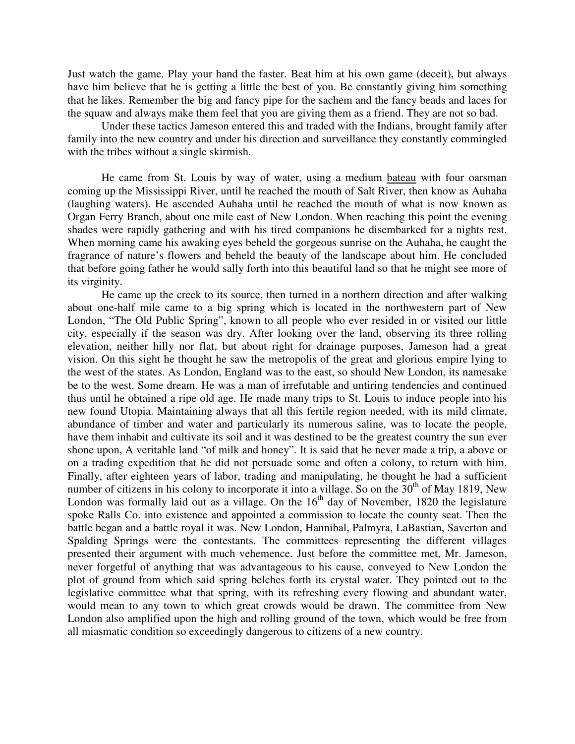Just watch the game. Play your hand the faster. Beat him at his own game (deceit), but always have him believe that he is getting a little the best of you. Be constantly giving him something that he likes. Remember the big and fancy pipe for the sachem and the fancy beads and laces for the squaw and always make them feel that you are giving them as a friend. They are not so bad.

Under these tactics Jameson entered this and traded with the Indians, brought family after family into the new country and under his direction and surveillance they constantly commingled with the tribes without a single skirmish.

He came from St. Louis by way of water, using a medium bateau with four oarsman coming up the Mississippi River, until he reached the mouth of Salt River, then know as Auhaha (laughing waters). He ascended Auhaha until he reached the mouth of what is now known as Organ Ferry Branch, about one mile east of New London. When reaching this point the evening shades were rapidly gathering and with his tired companions he disembarked for a nights rest. When morning came his awaking eyes beheld the gorgeous sunrise on the Auhaha, he caught the fragrance of nature's flowers and beheld the beauty of the landscape about him. He concluded that before going father he would sally forth into this beautiful land so that he might see more of its virginity.

He came up the creek to its source, then turned in a northern direction and after walking about one-half mile came to a big spring which is located in the northwestern part of New London, "The Old Public Spring", known to all people who ever resided in or visited our little city, especially if the season was dry. After looking over the land, observing its three rolling elevation, neither hilly nor flat, but about right for drainage purposes, Jameson had a great vision. On this sight he thought he saw the metropolis of the great and glorious empire lying to the west of the states. As London, England was to the east, so should New London, its namesake be to the west. Some dream. He was a man of irrefutable and untiring tendencies and continued thus until he obtained a ripe old age. He made many trips to St. Louis to induce people into his new found Utopia. Maintaining always that all this fertile region needed, with its mild climate, abundance of timber and water and particularly its numerous saline, was to locate the people, have them inhabit and cultivate its soil and it was destined to be the greatest country the sun ever shone upon, A veritable land "of milk and honey". It is said that he never made a trip, a above or on a trading expedition that he did not persuade some and often a colony, to return with him. Finally, after eighteen years of labor, trading and manipulating, he thought he had a sufficient number of citizens in his colony to incorporate it into a village. So on the  $30<sup>th</sup>$  of May 1819, New London was formally laid out as a village. On the  $16<sup>th</sup>$  day of November, 1820 the legislature spoke Ralls Co. into existence and appointed a commission to locate the county seat. Then the battle began and a battle royal it was. New London, Hannibal, Palmyra, LaBastian, Saverton and Spalding Springs were the contestants. The committees representing the different villages presented their argument with much vehemence. Just before the committee met, Mr. Jameson, never forgetful of anything that was advantageous to his cause, conveyed to New London the plot of ground from which said spring belches forth its crystal water. They pointed out to the legislative committee what that spring, with its refreshing every flowing and abundant water, would mean to any town to which great crowds would be drawn. The committee from New London also amplified upon the high and rolling ground of the town, which would be free from all miasmatic condition so exceedingly dangerous to citizens of a new country.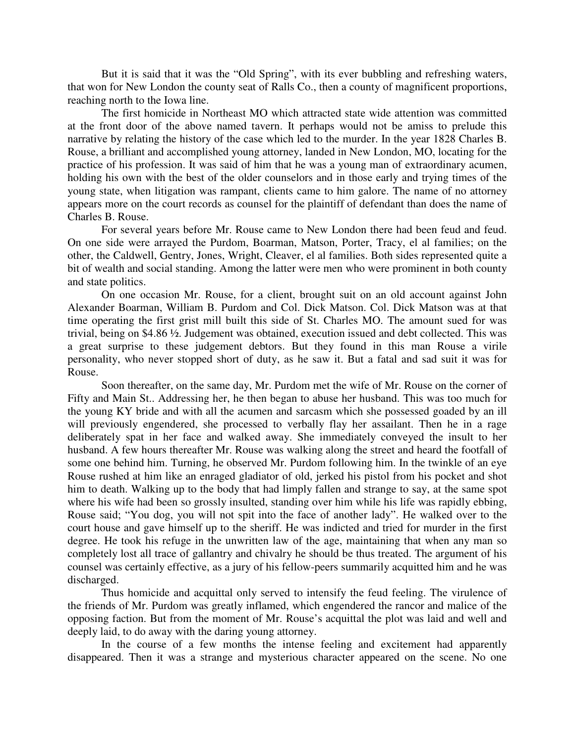But it is said that it was the "Old Spring", with its ever bubbling and refreshing waters, that won for New London the county seat of Ralls Co., then a county of magnificent proportions, reaching north to the Iowa line.

The first homicide in Northeast MO which attracted state wide attention was committed at the front door of the above named tavern. It perhaps would not be amiss to prelude this narrative by relating the history of the case which led to the murder. In the year 1828 Charles B. Rouse, a brilliant and accomplished young attorney, landed in New London, MO, locating for the practice of his profession. It was said of him that he was a young man of extraordinary acumen, holding his own with the best of the older counselors and in those early and trying times of the young state, when litigation was rampant, clients came to him galore. The name of no attorney appears more on the court records as counsel for the plaintiff of defendant than does the name of Charles B. Rouse.

For several years before Mr. Rouse came to New London there had been feud and feud. On one side were arrayed the Purdom, Boarman, Matson, Porter, Tracy, el al families; on the other, the Caldwell, Gentry, Jones, Wright, Cleaver, el al families. Both sides represented quite a bit of wealth and social standing. Among the latter were men who were prominent in both county and state politics.

On one occasion Mr. Rouse, for a client, brought suit on an old account against John Alexander Boarman, William B. Purdom and Col. Dick Matson. Col. Dick Matson was at that time operating the first grist mill built this side of St. Charles MO. The amount sued for was trivial, being on \$4.86 ½. Judgement was obtained, execution issued and debt collected. This was a great surprise to these judgement debtors. But they found in this man Rouse a virile personality, who never stopped short of duty, as he saw it. But a fatal and sad suit it was for Rouse.

Soon thereafter, on the same day, Mr. Purdom met the wife of Mr. Rouse on the corner of Fifty and Main St.. Addressing her, he then began to abuse her husband. This was too much for the young KY bride and with all the acumen and sarcasm which she possessed goaded by an ill will previously engendered, she processed to verbally flay her assailant. Then he in a rage deliberately spat in her face and walked away. She immediately conveyed the insult to her husband. A few hours thereafter Mr. Rouse was walking along the street and heard the footfall of some one behind him. Turning, he observed Mr. Purdom following him. In the twinkle of an eye Rouse rushed at him like an enraged gladiator of old, jerked his pistol from his pocket and shot him to death. Walking up to the body that had limply fallen and strange to say, at the same spot where his wife had been so grossly insulted, standing over him while his life was rapidly ebbing, Rouse said; "You dog, you will not spit into the face of another lady". He walked over to the court house and gave himself up to the sheriff. He was indicted and tried for murder in the first degree. He took his refuge in the unwritten law of the age, maintaining that when any man so completely lost all trace of gallantry and chivalry he should be thus treated. The argument of his counsel was certainly effective, as a jury of his fellow-peers summarily acquitted him and he was discharged.

Thus homicide and acquittal only served to intensify the feud feeling. The virulence of the friends of Mr. Purdom was greatly inflamed, which engendered the rancor and malice of the opposing faction. But from the moment of Mr. Rouse's acquittal the plot was laid and well and deeply laid, to do away with the daring young attorney.

In the course of a few months the intense feeling and excitement had apparently disappeared. Then it was a strange and mysterious character appeared on the scene. No one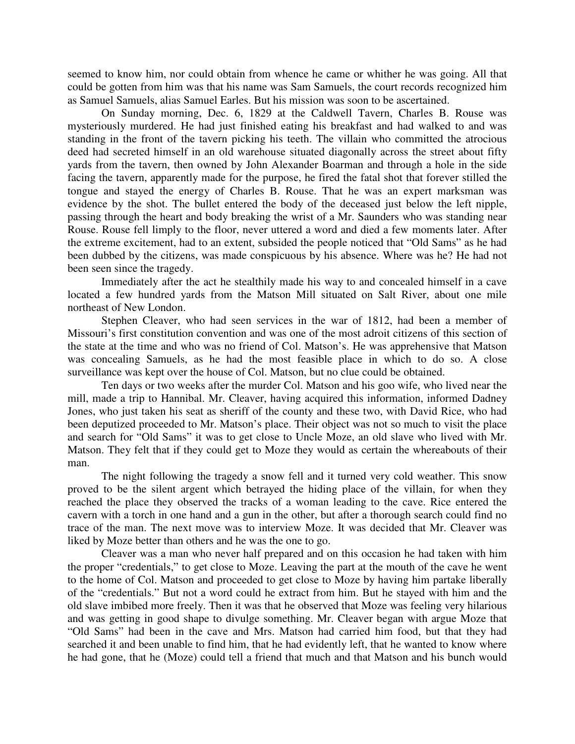seemed to know him, nor could obtain from whence he came or whither he was going. All that could be gotten from him was that his name was Sam Samuels, the court records recognized him as Samuel Samuels, alias Samuel Earles. But his mission was soon to be ascertained.

On Sunday morning, Dec. 6, 1829 at the Caldwell Tavern, Charles B. Rouse was mysteriously murdered. He had just finished eating his breakfast and had walked to and was standing in the front of the tavern picking his teeth. The villain who committed the atrocious deed had secreted himself in an old warehouse situated diagonally across the street about fifty yards from the tavern, then owned by John Alexander Boarman and through a hole in the side facing the tavern, apparently made for the purpose, he fired the fatal shot that forever stilled the tongue and stayed the energy of Charles B. Rouse. That he was an expert marksman was evidence by the shot. The bullet entered the body of the deceased just below the left nipple, passing through the heart and body breaking the wrist of a Mr. Saunders who was standing near Rouse. Rouse fell limply to the floor, never uttered a word and died a few moments later. After the extreme excitement, had to an extent, subsided the people noticed that "Old Sams" as he had been dubbed by the citizens, was made conspicuous by his absence. Where was he? He had not been seen since the tragedy.

Immediately after the act he stealthily made his way to and concealed himself in a cave located a few hundred yards from the Matson Mill situated on Salt River, about one mile northeast of New London.

Stephen Cleaver, who had seen services in the war of 1812, had been a member of Missouri's first constitution convention and was one of the most adroit citizens of this section of the state at the time and who was no friend of Col. Matson's. He was apprehensive that Matson was concealing Samuels, as he had the most feasible place in which to do so. A close surveillance was kept over the house of Col. Matson, but no clue could be obtained.

Ten days or two weeks after the murder Col. Matson and his goo wife, who lived near the mill, made a trip to Hannibal. Mr. Cleaver, having acquired this information, informed Dadney Jones, who just taken his seat as sheriff of the county and these two, with David Rice, who had been deputized proceeded to Mr. Matson's place. Their object was not so much to visit the place and search for "Old Sams" it was to get close to Uncle Moze, an old slave who lived with Mr. Matson. They felt that if they could get to Moze they would as certain the whereabouts of their man.

The night following the tragedy a snow fell and it turned very cold weather. This snow proved to be the silent argent which betrayed the hiding place of the villain, for when they reached the place they observed the tracks of a woman leading to the cave. Rice entered the cavern with a torch in one hand and a gun in the other, but after a thorough search could find no trace of the man. The next move was to interview Moze. It was decided that Mr. Cleaver was liked by Moze better than others and he was the one to go.

Cleaver was a man who never half prepared and on this occasion he had taken with him the proper "credentials," to get close to Moze. Leaving the part at the mouth of the cave he went to the home of Col. Matson and proceeded to get close to Moze by having him partake liberally of the "credentials." But not a word could he extract from him. But he stayed with him and the old slave imbibed more freely. Then it was that he observed that Moze was feeling very hilarious and was getting in good shape to divulge something. Mr. Cleaver began with argue Moze that "Old Sams" had been in the cave and Mrs. Matson had carried him food, but that they had searched it and been unable to find him, that he had evidently left, that he wanted to know where he had gone, that he (Moze) could tell a friend that much and that Matson and his bunch would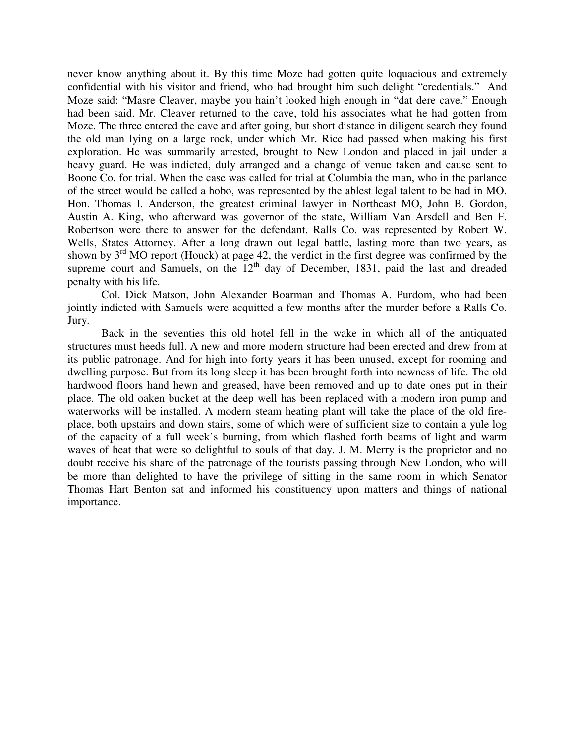never know anything about it. By this time Moze had gotten quite loquacious and extremely confidential with his visitor and friend, who had brought him such delight "credentials." And Moze said: "Masre Cleaver, maybe you hain't looked high enough in "dat dere cave." Enough had been said. Mr. Cleaver returned to the cave, told his associates what he had gotten from Moze. The three entered the cave and after going, but short distance in diligent search they found the old man lying on a large rock, under which Mr. Rice had passed when making his first exploration. He was summarily arrested, brought to New London and placed in jail under a heavy guard. He was indicted, duly arranged and a change of venue taken and cause sent to Boone Co. for trial. When the case was called for trial at Columbia the man, who in the parlance of the street would be called a hobo, was represented by the ablest legal talent to be had in MO. Hon. Thomas I. Anderson, the greatest criminal lawyer in Northeast MO, John B. Gordon, Austin A. King, who afterward was governor of the state, William Van Arsdell and Ben F. Robertson were there to answer for the defendant. Ralls Co. was represented by Robert W. Wells, States Attorney. After a long drawn out legal battle, lasting more than two years, as shown by  $3<sup>rd</sup>$  MO report (Houck) at page 42, the verdict in the first degree was confirmed by the supreme court and Samuels, on the 12<sup>th</sup> day of December, 1831, paid the last and dreaded penalty with his life.

Col. Dick Matson, John Alexander Boarman and Thomas A. Purdom, who had been jointly indicted with Samuels were acquitted a few months after the murder before a Ralls Co. Jury.

Back in the seventies this old hotel fell in the wake in which all of the antiquated structures must heeds full. A new and more modern structure had been erected and drew from at its public patronage. And for high into forty years it has been unused, except for rooming and dwelling purpose. But from its long sleep it has been brought forth into newness of life. The old hardwood floors hand hewn and greased, have been removed and up to date ones put in their place. The old oaken bucket at the deep well has been replaced with a modern iron pump and waterworks will be installed. A modern steam heating plant will take the place of the old fireplace, both upstairs and down stairs, some of which were of sufficient size to contain a yule log of the capacity of a full week's burning, from which flashed forth beams of light and warm waves of heat that were so delightful to souls of that day. J. M. Merry is the proprietor and no doubt receive his share of the patronage of the tourists passing through New London, who will be more than delighted to have the privilege of sitting in the same room in which Senator Thomas Hart Benton sat and informed his constituency upon matters and things of national importance.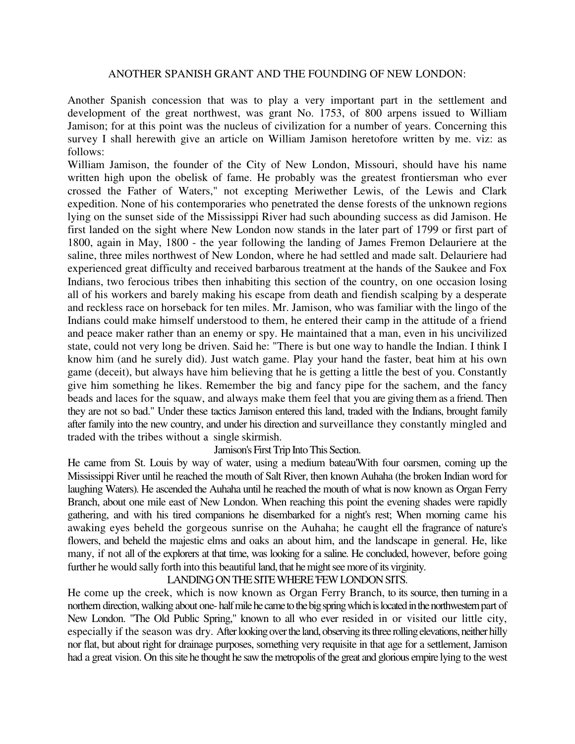# ANOTHER SPANISH GRANT AND THE FOUNDING OF NEW LONDON:

Another Spanish concession that was to play a very important part in the settlement and development of the great northwest, was grant No. 1753, of 800 arpens issued to William Jamison; for at this point was the nucleus of civilization for a number of years. Concerning this survey I shall herewith give an article on William Jamison heretofore written by me. viz: as follows:

William Jamison, the founder of the City of New London, Missouri, should have his name written high upon the obelisk of fame. He probably was the greatest frontiersman who ever crossed the Father of Waters," not excepting Meriwether Lewis, of the Lewis and Clark expedition. None of his contemporaries who penetrated the dense forests of the unknown regions lying on the sunset side of the Mississippi River had such abounding success as did Jamison. He first landed on the sight where New London now stands in the later part of 1799 or first part of 1800, again in May, 1800 - the year following the landing of James Fremon Delauriere at the saline, three miles northwest of New London, where he had settled and made salt. Delauriere had experienced great difficulty and received barbarous treatment at the hands of the Saukee and Fox Indians, two ferocious tribes then inhabiting this section of the country, on one occasion losing all of his workers and barely making his escape from death and fiendish scalping by a desperate and reckless race on horseback for ten miles. Mr. Jamison, who was familiar with the lingo of the Indians could make himself understood to them, he entered their camp in the attitude of a friend and peace maker rather than an enemy or spy. He maintained that a man, even in his uncivilized state, could not very long be driven. Said he: "There is but one way to handle the Indian. I think I know him (and he surely did). Just watch game. Play your hand the faster, beat him at his own game (deceit), but always have him believing that he is getting a little the best of you. Constantly give him something he likes. Remember the big and fancy pipe for the sachem, and the fancy beads and laces for the squaw, and always make them feel that you are giving them as a friend. Then they are not so bad." Under these tactics Jamison entered this land, traded with the Indians, brought family after family into the new country, and under his direction and surveillance they constantly mingled and traded with the tribes without a single skirmish.

### Jamison's First Trip Into This Section.

He came from St. Louis by way of water, using a medium bateau'With four oarsmen, coming up the Mississippi River until he reached the mouth of Salt River, then known Auhaha (the broken Indian word for laughing Waters). He ascended the Auhaha until he reached the mouth of what is now known as Organ Ferry Branch, about one mile east of New London. When reaching this point the evening shades were rapidly gathering, and with his tired companions he disembarked for a night's rest; When morning came his awaking eyes beheld the gorgeous sunrise on the Auhaha; he caught ell the fragrance of nature's flowers, and beheld the majestic elms and oaks an about him, and the landscape in general. He, like many, if not all of the explorers at that time, was looking for a saline. He concluded, however, before going further he would sally forth into this beautiful land, that he might see more of its virginity.

#### LANDING ON THE SITE WHERE FEW LONDON SITS.

He come up the creek, which is now known as Organ Ferry Branch, to its source, then turning in a northern direction, walking about one- half mile he came to the big spring which is located in the northwestern part of New London. "The Old Public Spring," known to all who ever resided in or visited our little city, especially if the season was dry. After looking over the land, observing its three rolling elevations, neither hilly nor flat, but about right for drainage purposes, something very requisite in that age for a settlement, Jamison had a great vision. On this site he thought he saw the metropolis of the great and glorious empire lying to the west